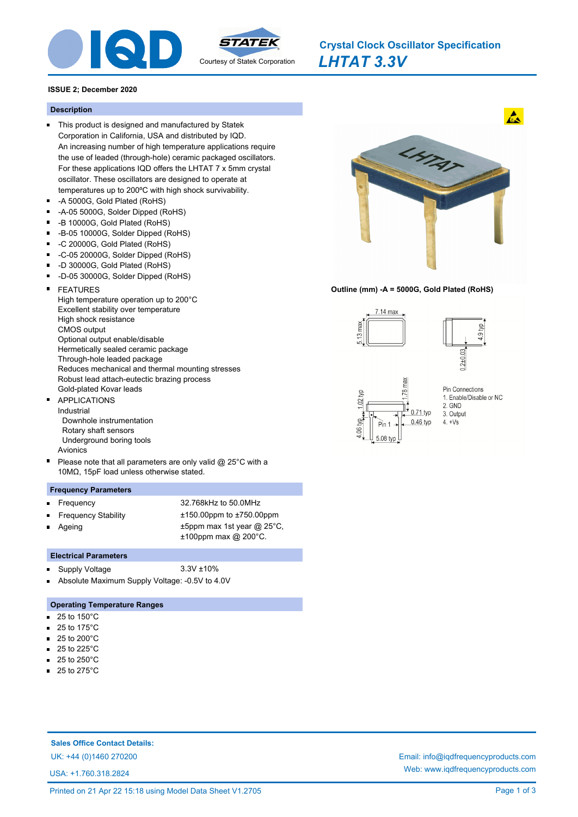

*LHTAT 3.3V* **Crystal Clock Oscillator Specification**

# **ISSUE 2; December 2020**

# **Description**

- This product is designed and manufactured by Statek Corporation in California, USA and distributed by IQD. An increasing number of high temperature applications require the use of leaded (through-hole) ceramic packaged oscillators. For these applications IQD offers the LHTAT 7 x 5mm crystal oscillator. These oscillators are designed to operate at temperatures up to 200ºC with high shock survivability.
- -A 5000G, Gold Plated (RoHS)  $\blacksquare$
- $\blacksquare$ -A-05 5000G, Solder Dipped (RoHS)
- -B 10000G, Gold Plated (RoHS)
- -B-05 10000G, Solder Dipped (RoHS)  $\blacksquare$
- $\blacksquare$ -C 20000G, Gold Plated (RoHS)
- $\blacksquare$ -C-05 20000G, Solder Dipped (RoHS)
- -D 30000G, Gold Plated (RoHS) Ē
- ř. -D-05 30000G, Solder Dipped (RoHS)
- FEATURES High temperature operation up to 200°C Excellent stability over temperature High shock resistance CMOS output Optional output enable/disable Hermetically sealed ceramic package Through-hole leaded package Reduces mechanical and thermal mounting stresses Robust lead attach-eutectic brazing process Gold-plated Kovar leads
- APPLICATIONS Industrial Downhole instrumentation Rotary shaft sensors Underground boring tools Avionics
- Please note that all parameters are only valid @ 25°C with a 10MΩ, 15pF load unless otherwise stated.

### **Frequency Parameters**

- 
- 
- Ageing
- Frequency 32.768kHz to 50.0MHz Frequency Stability ±150.00ppm to ±750.00ppm ±5ppm max 1st year @ 25°C, ±100ppm max @ 200°C.

# **Electrical Parameters**

- Supply Voltage 3.3V ±10%  $\blacksquare$
- Absolute Maximum Supply Voltage: -0.5V to 4.0V

## **Operating Temperature Ranges**

- 25 to 150°C  $\blacksquare$
- 25 to 175°C  $\blacksquare$
- 25 to 200°C  $\blacksquare$
- 25 to 225°C  $\blacksquare$
- 25 to 250°C
- 25 to 275°C

# **Sales Office Contact Details:**

USA: +1.760.318.2824



### **Outline (mm) -A = 5000G, Gold Plated (RoHS)**



UK: +44 (0)1460 270200 Email: info@iqdfrequencyproducts.com Web: www.iqdfrequencyproducts.com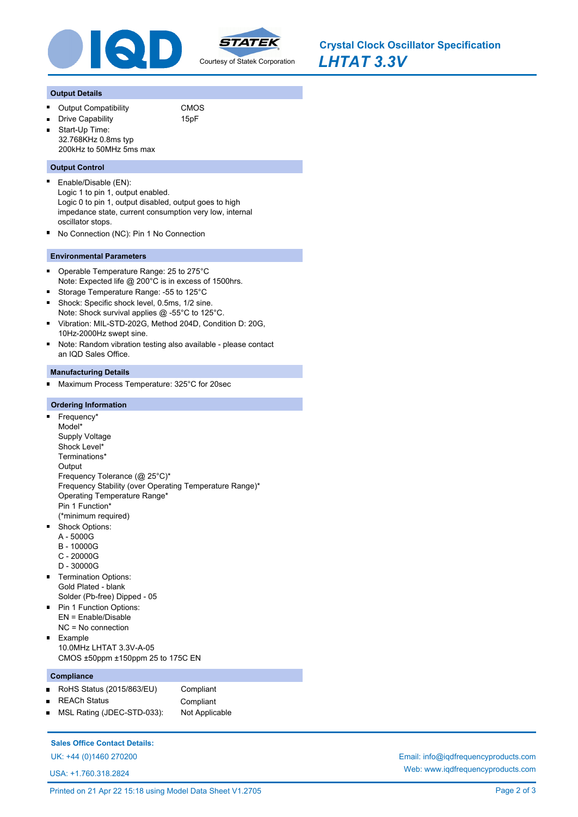

*LHTAT 3.3V* **Crystal Clock Oscillator Specification**

#### **Output Details**

O,

- Output Compatibility **CMOS** 
	- Drive Capability 15pF
- Start-Up Time: 32.768KHz 0.8ms typ 200kHz to 50MHz 5ms max

#### **Output Control**

- Enable/Disable (EN): Logic 1 to pin 1, output enabled. Logic 0 to pin 1, output disabled, output goes to high impedance state, current consumption very low, internal oscillator stops.
- No Connection (NC): Pin 1 No Connection

## **Environmental Parameters**

- Operable Temperature Range: 25 to 275°C  $\blacksquare$ Note: Expected life @ 200°C is in excess of 1500hrs.
- $\blacksquare$ Storage Temperature Range: -55 to 125°C  $\blacksquare$
- Shock: Specific shock level, 0.5ms, 1/2 sine. Note: Shock survival applies @ -55°C to 125°C.
- $\blacksquare$ Vibration: MIL-STD-202G, Method 204D, Condition D: 20G, 10Hz-2000Hz swept sine.
- $\blacksquare$ Note: Random vibration testing also available - please contact an IQD Sales Office.

#### **Manufacturing Details**

Maximum Process Temperature: 325°C for 20sec  $\blacksquare$ 

#### **Ordering Information**

- n. Frequency\* Model\* Supply Voltage Shock Level\* Terminations\* **Output** Frequency Tolerance (@ 25°C)\* Frequency Stability (over Operating Temperature Range)\* Operating Temperature Range\* Pin 1 Function\* (\*minimum required)  $\blacksquare$ Shock Options:
	- A 5000G
	- B 10000G
	- C 20000G
	- D 30000G
- **Termination Options:** Gold Plated - blank Solder (Pb-free) Dipped - 05
- **Pin 1 Function Options:** EN = Enable/Disable
- NC = No connection Example 10.0MHz LHTAT 3.3V-A-05 CMOS ±50ppm ±150ppm 25 to 175C EN

#### **Compliance**

 $\blacksquare$ 

- RoHS Status (2015/863/EU) Compliant
- $\blacksquare$
- REACh Status **Compliant**
- MSL Rating (JDEC-STD-033): Not Applicable  $\blacksquare$

### **Sales Office Contact Details:**

USA: +1.760.318.2824

Printed on 21 Apr 22 15:18 using Model Data Sheet V1.2705 Page 2 of 3

UK: +44 (0)1460 270200 Email: info@iqdfrequencyproducts.com Web: www.iqdfrequencyproducts.com